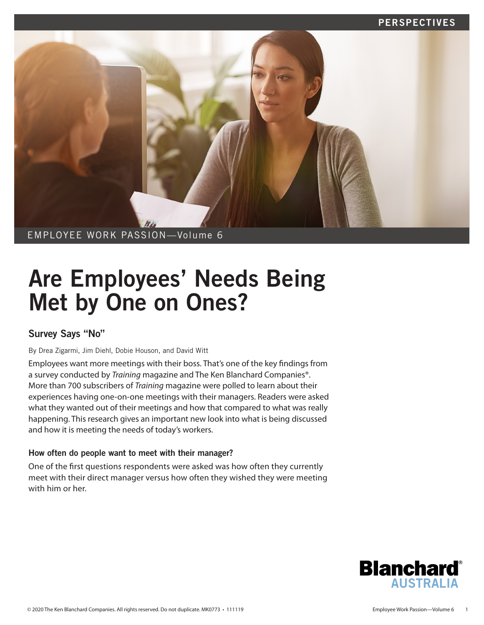# PERSPECTIVES



# Are Employees' Needs Being Met by One on Ones?

# Survey Says "No"

By Drea Zigarmi, Jim Diehl, Dobie Houson, and David Witt

Employees want more meetings with their boss. That's one of the key findings from a survey conducted by *Training* magazine and The Ken Blanchard Companies®. More than 700 subscribers of *Training* magazine were polled to learn about their experiences having one-on-one meetings with their managers. Readers were asked what they wanted out of their meetings and how that compared to what was really happening. This research gives an important new look into what is being discussed and how it is meeting the needs of today's workers.

# How often do people want to meet with their manager?

One of the first questions respondents were asked was how often they currently meet with their direct manager versus how often they wished they were meeting with him or her

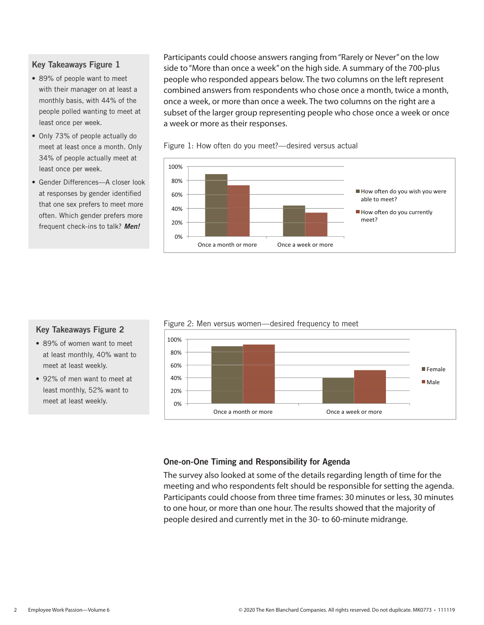### Key Takeaways Figure 1

- 89% of people want to meet with their manager on at least a monthly basis, with 44% of the people polled wanting to meet at least once per week.
- Only 73% of people actually do meet at least once a month. Only 34% of people actually meet at least once per week.
- Gender Differences—A closer look at responses by gender identified that one sex prefers to meet more often. Which gender prefers more frequent check-ins to talk? *Men!*

Participants could choose answers ranging from "Rarely or Never" on the low side to "More than once a week" on the high side. A summary of the 700-plus people who responded appears below. The two columns on the left represent combined answers from respondents who chose once a month, twice a month, once a week, or more than once a week. The two columns on the right are a subset of the larger group representing people who chose once a week or once a week or more as their responses.





### Figure 2: Men versus women—desired frequency to meet



### Key Takeaways Figure 2

- 89% of women want to meet at least monthly, 40% want to meet at least weekly.
- 92% of men want to meet at least monthly, 52% want to meet at least weekly.

### One-on-One Timing and Responsibility for Agenda

The survey also looked at some of the details regarding length of time for the meeting and who respondents felt should be responsible for setting the agenda. Participants could choose from three time frames: 30 minutes or less, 30 minutes to one hour, or more than one hour. The results showed that the majority of people desired and currently met in the 30- to 60-minute midrange.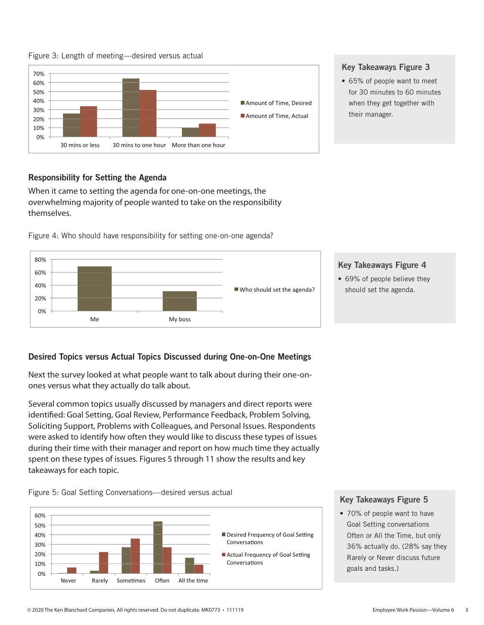

70%

### Figure 3: Length of meeting—desired versus actual



### Key Takeaways Figure 3

• 65% of people want to meet for 30 minutes to 60 minutes when they get together with their manager.

# Responsibility for Setting the Agenda

When it came to setting the agenda for one-on-one meetings, the overwhelming majority of people wanted to take on the responsibility themselves.

Figure 4: Who should have responsibility for setting one-on-one agenda?



# Key Takeaways Figure 4 • 69% of people believe they

should set the agenda.

# Desired Topics versus Actual Topics Discussed during One-on-One Meetings

Next the survey looked at what people want to talk about during their one-onones versus what they actually do talk about.

Several common topics usually discussed by managers and direct reports were identified: Goal Setting, Goal Review, Performance Feedback, Problem Solving, Soliciting Support, Problems with Colleagues, and Personal Issues. Respondents were asked to identify how often they would like to discuss these types of issues during their time with their manager and report on how much time they actually spent on these types of issues. Figures 5 through 11 show the results and key takeaways for each topic.



### Key Takeaways Figure 5

• 70% of people want to have Goal Setting conversations Often or All the Time, but only 36% actually do. (28% say they Rarely or Never discuss future goals and tasks.)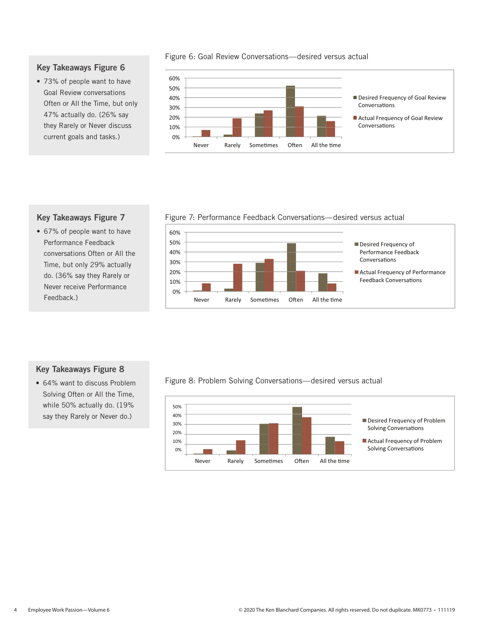Figure 6: Goal Review Conversations—desired versus actual

#### 0% 10% 20% 30% 40% 50% 60% Never Rarely Sometimes Often All the time Desired Frequency of Goal Review Conversations Actual Frequency of Goal Review Conversations

# Key Takeaways Figure 7

Key Takeaways Figure 6 • 73% of people want to have Goal Review conversations Often or All the Time, but only 47% actually do. (26% say they Rarely or Never discuss current goals and tasks.)

• 67% of people want to have Performance Feedback conversations Often or All the Time, but only 29% actually do. (36% say they Rarely or Never receive Performance Feedback.)

Figure 7: Performance Feedback Conversations—desired versus actual



# Key Takeaways Figure 8

• 64% want to discuss Problem Solving Often or All the Time, while 50% actually do. (19% say they Rarely or Never do.)

### Figure 8: Problem Solving Conversations—desired versus actual

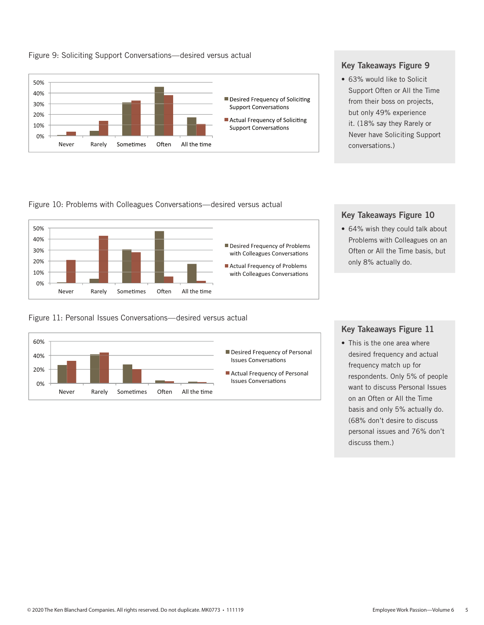



### Key Takeaways Figure 9

• 63% would like to Solicit Support Often or All the Time from their boss on projects, but only 49% experience it. (18% say they Rarely or Never have Soliciting Support conversations.)

Figure 10: Problems with Colleagues Conversations—desired versus actual



Figure 11: Personal Issues Conversations—desired versus actual



# Key Takeaways Figure 10

• 64% wish they could talk about Problems with Colleagues on an Often or All the Time basis, but only 8% actually do.

### Key Takeaways Figure 11

• This is the one area where desired frequency and actual frequency match up for respondents. Only 5% of people want to discuss Personal Issues on an Often or All the Time basis and only 5% actually do. (68% don't desire to discuss personal issues and 76% don't discuss them.)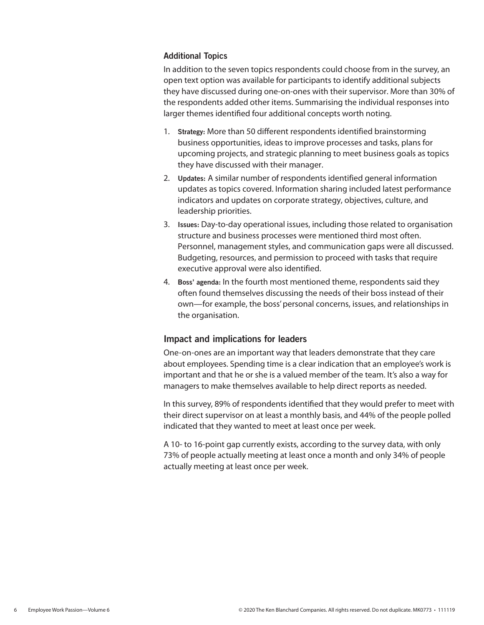### Additional Topics

In addition to the seven topics respondents could choose from in the survey, an open text option was available for participants to identify additional subjects they have discussed during one-on-ones with their supervisor. More than 30% of the respondents added other items. Summarising the individual responses into larger themes identified four additional concepts worth noting.

- 1. Strategy: More than 50 different respondents identified brainstorming business opportunities, ideas to improve processes and tasks, plans for upcoming projects, and strategic planning to meet business goals as topics they have discussed with their manager.
- 2. Updates: A similar number of respondents identified general information updates as topics covered. Information sharing included latest performance indicators and updates on corporate strategy, objectives, culture, and leadership priorities.
- 3. Issues: Day-to-day operational issues, including those related to organisation structure and business processes were mentioned third most often. Personnel, management styles, and communication gaps were all discussed. Budgeting, resources, and permission to proceed with tasks that require executive approval were also identified.
- 4. Boss' agenda: In the fourth most mentioned theme, respondents said they often found themselves discussing the needs of their boss instead of their own—for example, the boss' personal concerns, issues, and relationships in the organisation.

# Impact and implications for leaders

One-on-ones are an important way that leaders demonstrate that they care about employees. Spending time is a clear indication that an employee's work is important and that he or she is a valued member of the team. It's also a way for managers to make themselves available to help direct reports as needed.

In this survey, 89% of respondents identified that they would prefer to meet with their direct supervisor on at least a monthly basis, and 44% of the people polled indicated that they wanted to meet at least once per week.

A 10- to 16-point gap currently exists, according to the survey data, with only 73% of people actually meeting at least once a month and only 34% of people actually meeting at least once per week.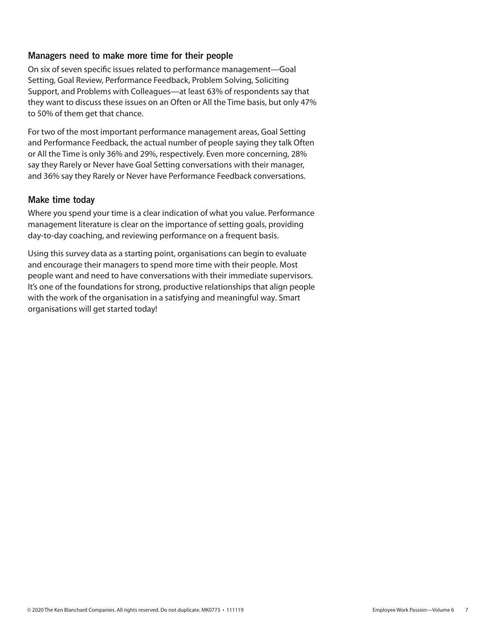# Managers need to make more time for their people

On six of seven specific issues related to performance management—Goal Setting, Goal Review, Performance Feedback, Problem Solving, Soliciting Support, and Problems with Colleagues—at least 63% of respondents say that they want to discuss these issues on an Often or All the Time basis, but only 47% to 50% of them get that chance.

For two of the most important performance management areas, Goal Setting and Performance Feedback, the actual number of people saying they talk Often or All the Time is only 36% and 29%, respectively. Even more concerning, 28% say they Rarely or Never have Goal Setting conversations with their manager, and 36% say they Rarely or Never have Performance Feedback conversations.

### Make time today

Where you spend your time is a clear indication of what you value. Performance management literature is clear on the importance of setting goals, providing day-to-day coaching, and reviewing performance on a frequent basis.

Using this survey data as a starting point, organisations can begin to evaluate and encourage their managers to spend more time with their people. Most people want and need to have conversations with their immediate supervisors. It's one of the foundations for strong, productive relationships that align people with the work of the organisation in a satisfying and meaningful way. Smart organisations will get started today!